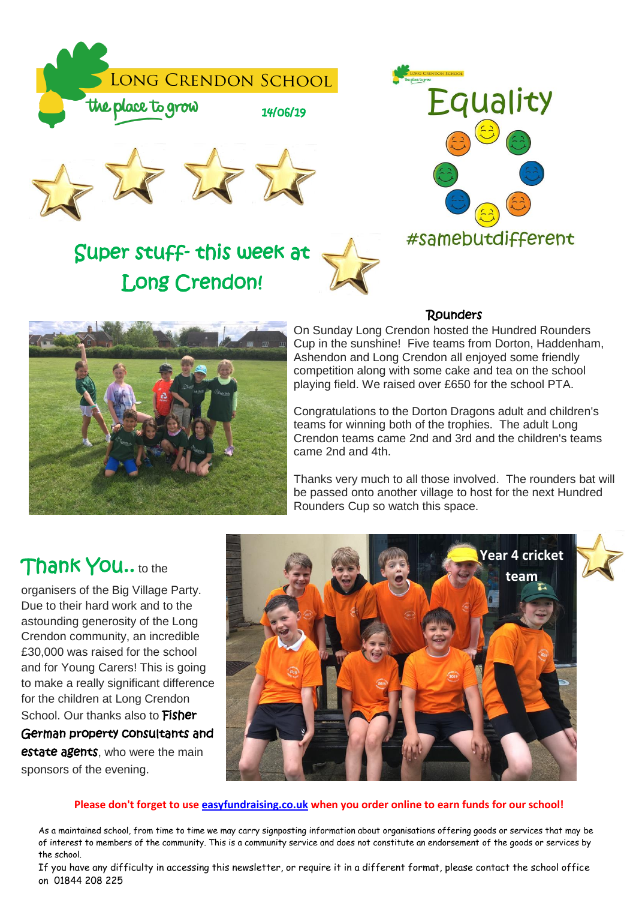

# Super stuff- this week at Long Crendon!



## Rounders



 Cup in the sunshine! Five teams from Dorton, Haddenham, Ashendon and Long Crendon all enjoyed some friendly competition along with some cake and tea on the school playing field. We raised over £650 for the school PTA. On Sunday Long Crendon hosted the Hundred Rounders

 teams for winning both of the trophies. The adult Long Crendon teams came 2nd and 3rd and the children's teams came 2nd and 4th. Congratulations to the Dorton Dragons adult and children's

 Thanks very much to all those involved. The rounders bat will be passed onto another village to host for the next Hundred Rounders Cup so watch this space.

# i.

 organisers of the Big Village Party. Due to their hard work and to the astounding generosity of the Long Crendon community, an incredible £30,000 was raised for the school and for Young Carers! This is going to make a really significant difference for the children at Long Crendon School. Our thanks also to Fisher German property consultants and estate agents, who were the main sponsors of the evening.



#### **Please don't forget to use [easyfundraising.co.uk](http://easyfundraising.co.uk/) when you order online to earn funds for our school!**

₹

As a maintained school, from time to time we may carry signposting information about organisations offering goods or services that may be of interest to members of the community. This is a community service and does not constitute an endorsement of the goods or services by the school.

If you have any difficulty in accessing this newsletter, or require it in a different format, please contact the school office on 01844 208 225